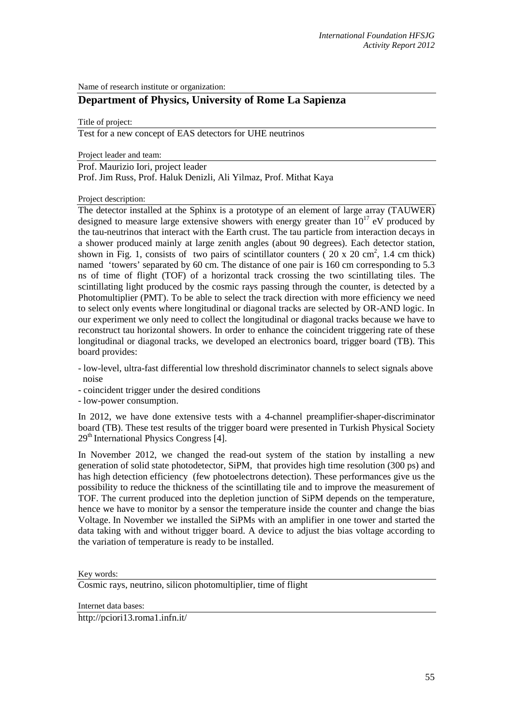Name of research institute or organization:

## **Department of Physics, University of Rome La Sapienza**

Title of project:

Test for a new concept of EAS detectors for UHE neutrinos

Project leader and team:

Prof. Maurizio Iori, project leader

Prof. Jim Russ, Prof. Haluk Denizli, Ali Yilmaz, Prof. Mithat Kaya

Project description:

The detector installed at the Sphinx is a prototype of an element of large array (TAUWER) designed to measure large extensive showers with energy greater than  $10^{17}$  eV produced by the tau-neutrinos that interact with the Earth crust. The tau particle from interaction decays in a shower produced mainly at large zenith angles (about 90 degrees). Each detector station, shown in Fig. 1, consists of two pairs of scintillator counters ( $20 \times 20 \text{ cm}^2$ , 1.4 cm thick) named 'towers' separated by 60 cm. The distance of one pair is 160 cm corresponding to 5.3 ns of time of flight (TOF) of a horizontal track crossing the two scintillating tiles. The scintillating light produced by the cosmic rays passing through the counter, is detected by a Photomultiplier (PMT). To be able to select the track direction with more efficiency we need to select only events where longitudinal or diagonal tracks are selected by OR-AND logic. In our experiment we only need to collect the longitudinal or diagonal tracks because we have to reconstruct tau horizontal showers. In order to enhance the coincident triggering rate of these longitudinal or diagonal tracks, we developed an electronics board, trigger board (TB). This board provides:

- low-level, ultra-fast differential low threshold discriminator channels to select signals above noise

- coincident trigger under the desired conditions

- low-power consumption.

In 2012, we have done extensive tests with a 4-channel preamplifier-shaper-discriminator board (TB). These test results of the trigger board were presented in Turkish Physical Society 29th International Physics Congress [4].

In November 2012, we changed the read-out system of the station by installing a new generation of solid state photodetector, SiPM, that provides high time resolution (300 ps) and has high detection efficiency (few photoelectrons detection). These performances give us the possibility to reduce the thickness of the scintillating tile and to improve the measurement of TOF. The current produced into the depletion junction of SiPM depends on the temperature, hence we have to monitor by a sensor the temperature inside the counter and change the bias Voltage. In November we installed the SiPMs with an amplifier in one tower and started the data taking with and without trigger board. A device to adjust the bias voltage according to the variation of temperature is ready to be installed.

Key words:

Cosmic rays, neutrino, silicon photomultiplier, time of flight

Internet data bases:

http://pciori13.roma1.infn.it/